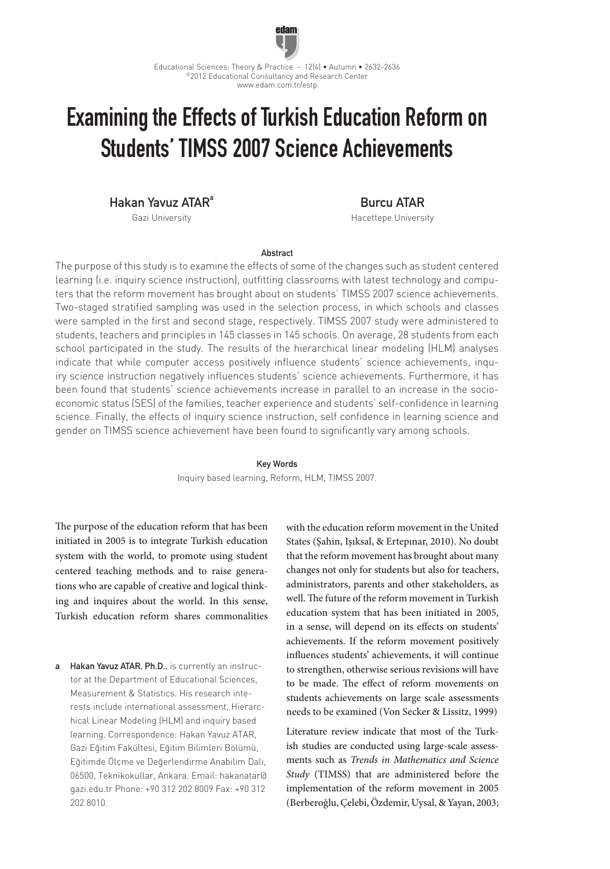

# Examining the Effects of Turkish Education Reform on Students' TIMSS 2007 Science Achievements

Hakan Yavuz ATAR<sup>a</sup>

Gazi University

Burcu ATAR

Hacettepe University

## Abstract

The purpose of this study is to examine the effects of some of the changes such as student centered learning (i.e. inquiry science instruction), outfitting classrooms with latest technology and computers that the reform movement has brought about on students' TIMSS 2007 science achievements. Two-staged stratified sampling was used in the selection process, in which schools and classes were sampled in the first and second stage, respectively. TIMSS 2007 study were administered to students, teachers and principles in 145 classes in 145 schools. On average, 28 students from each school participated in the study. The results of the hierarchical linear modeling (HLM) analyses indicate that while computer access positively influence students' science achievements, inquiry science instruction negatively influences students' science achievements. Furthermore, it has been found that students' science achievements increase in parallel to an increase in the socioeconomic status (SES) of the families, teacher experience and students' self-confidence in learning science. Finally, the effects of inquiry science instruction, self confidence in learning science and gender on TIMSS science achievement have been found to significantly vary among schools.

### Key Words

Inquiry based learning, Reform, HLM, TIMSS 2007.

The purpose of the education reform that has been initiated in 2005 is to integrate Turkish education system with the world, to promote using student centered teaching methods and to raise generations who are capable of creative and logical thinking and inquires about the world. In this sense, Turkish education reform shares commonalities

a Hakan Yavuz ATAR, Ph.D., is currently an instructor at the Department of Educational Sciences, Measurement & Statistics. His research interests include international assessment, Hierarchical Linear Modeling (HLM) and inquiry based learning. Correspondence: Hakan Yavuz ATAR, Gazi Eğitim Fakültesi, Eğitim Bilimleri Bölümü, Eğitimde Ölçme ve Değerlendirme Anabilim Dalı, 06500, Teknikokullar, Ankara. Email: hakanatar@ gazi.edu.tr Phone: +90 312 202 8009 Fax: +90 312 202 8010.

with the education reform movement in the United States (Şahin, Işıksal, & Ertepınar, 2010). No doubt that the reform movement has brought about many changes not only for students but also for teachers, administrators, parents and other stakeholders, as well. The future of the reform movement in Turkish education system that has been initiated in 2005, in a sense, will depend on its effects on students' achievements. If the reform movement positively influences students' achievements, it will continue to strengthen, otherwise serious revisions will have to be made. The effect of reform movements on students achievements on large scale assessments needs to be examined (Von Secker & Lissitz, 1999)

Literature review indicate that most of the Turkish studies are conducted using large-scale assessments such as *Trends in Mathematics and Science Study* (TIMSS) that are administered before the implementation of the reform movement in 2005 (Berberoğlu, Çelebi, Özdemir, Uysal, & Yayan, 2003;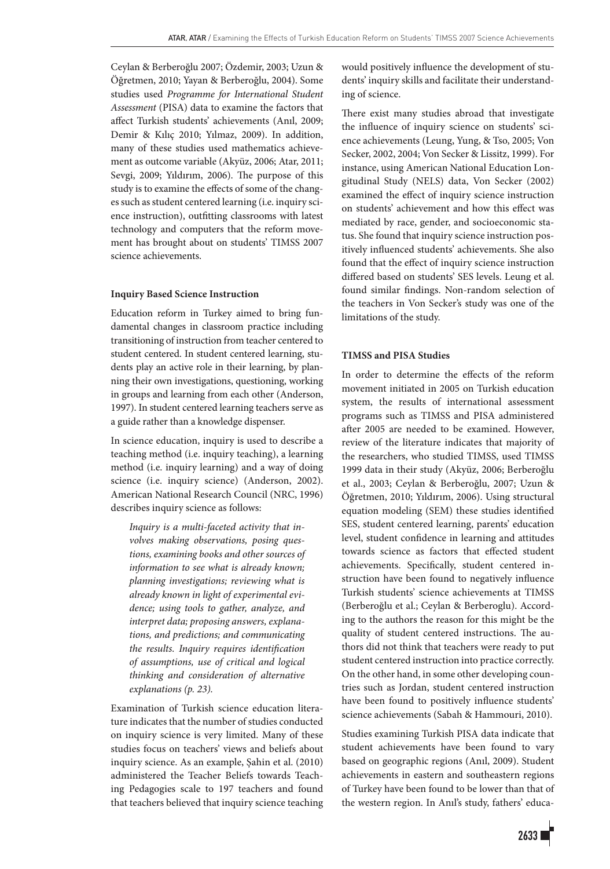Ceylan & Berberoğlu 2007; Özdemir, 2003; Uzun & Öğretmen, 2010; Yayan & Berberoğlu, 2004). Some studies used *Programme for International Student Assessment* (PISA) data to examine the factors that affect Turkish students' achievements (Anıl, 2009; Demir & Kılıç 2010; Yılmaz, 2009). In addition, many of these studies used mathematics achievement as outcome variable (Akyüz, 2006; Atar, 2011; Sevgi, 2009; Yıldırım, 2006). The purpose of this study is to examine the effects of some of the changes such as student centered learning (i.e. inquiry science instruction), outfitting classrooms with latest technology and computers that the reform movement has brought about on students' TIMSS 2007 science achievements.

## **Inquiry Based Science Instruction**

Education reform in Turkey aimed to bring fundamental changes in classroom practice including transitioning of instruction from teacher centered to student centered. In student centered learning, students play an active role in their learning, by planning their own investigations, questioning, working in groups and learning from each other (Anderson, 1997). In student centered learning teachers serve as a guide rather than a knowledge dispenser.

In science education, inquiry is used to describe a teaching method (i.e. inquiry teaching), a learning method (i.e. inquiry learning) and a way of doing science (i.e. inquiry science) (Anderson, 2002). American National Research Council (NRC, 1996) describes inquiry science as follows:

*Inquiry is a multi-faceted activity that involves making observations, posing questions, examining books and other sources of information to see what is already known; planning investigations; reviewing what is already known in light of experimental evidence; using tools to gather, analyze, and interpret data; proposing answers, explanations, and predictions; and communicating the results. Inquiry requires identification of assumptions, use of critical and logical thinking and consideration of alternative explanations (p. 23).*

Examination of Turkish science education literature indicates that the number of studies conducted on inquiry science is very limited. Many of these studies focus on teachers' views and beliefs about inquiry science. As an example, Şahin et al. (2010) administered the Teacher Beliefs towards Teaching Pedagogies scale to 197 teachers and found that teachers believed that inquiry science teaching would positively influence the development of students' inquiry skills and facilitate their understanding of science.

There exist many studies abroad that investigate the influence of inquiry science on students' science achievements (Leung, Yung, & Tso, 2005; Von Secker, 2002, 2004; Von Secker & Lissitz, 1999). For instance, using American National Education Longitudinal Study (NELS) data, Von Secker (2002) examined the effect of inquiry science instruction on students' achievement and how this effect was mediated by race, gender, and socioeconomic status. She found that inquiry science instruction positively influenced students' achievements. She also found that the effect of inquiry science instruction differed based on students' SES levels. Leung et al. found similar findings. Non-random selection of the teachers in Von Secker's study was one of the limitations of the study.

#### **TIMSS and PISA Studies**

In order to determine the effects of the reform movement initiated in 2005 on Turkish education system, the results of international assessment programs such as TIMSS and PISA administered after 2005 are needed to be examined. However, review of the literature indicates that majority of the researchers, who studied TIMSS, used TIMSS 1999 data in their study (Akyüz, 2006; Berberoğlu et al., 2003; Ceylan & Berberoğlu, 2007; Uzun & Öğretmen, 2010; Yıldırım, 2006). Using structural equation modeling (SEM) these studies identified SES, student centered learning, parents' education level, student confidence in learning and attitudes towards science as factors that effected student achievements. Specifically, student centered instruction have been found to negatively influence Turkish students' science achievements at TIMSS (Berberoğlu et al.; Ceylan & Berberoglu). According to the authors the reason for this might be the quality of student centered instructions. The authors did not think that teachers were ready to put student centered instruction into practice correctly. On the other hand, in some other developing countries such as Jordan, student centered instruction have been found to positively influence students' science achievements (Sabah & Hammouri, 2010).

Studies examining Turkish PISA data indicate that student achievements have been found to vary based on geographic regions (Anıl, 2009). Student achievements in eastern and southeastern regions of Turkey have been found to be lower than that of the western region. In Anıl's study, fathers' educa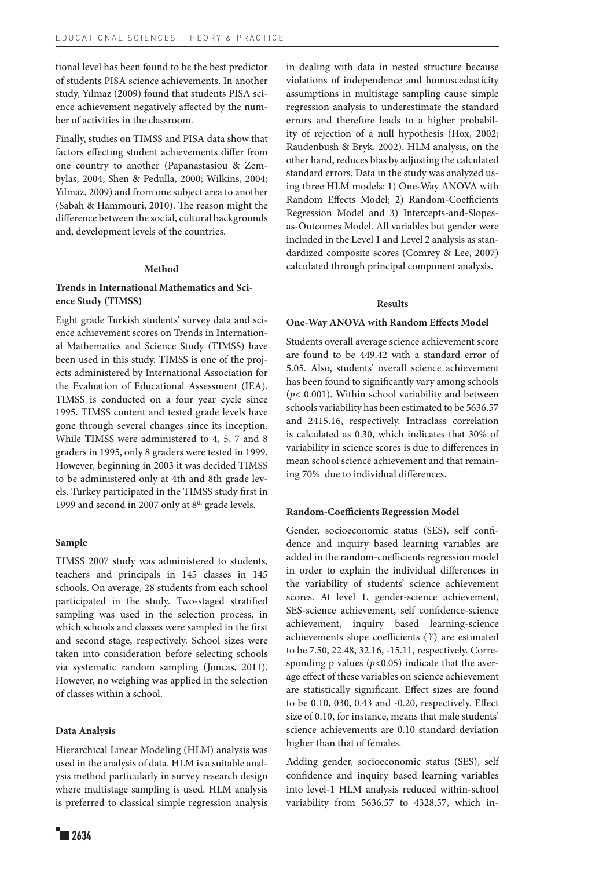tional level has been found to be the best predictor of students PISA science achievements. In another study, Yılmaz (2009) found that students PISA science achievement negatively affected by the number of activities in the classroom.

Finally, studies on TIMSS and PISA data show that factors effecting student achievements differ from one country to another (Papanastasiou & Zembylas, 2004; Shen & Pedulla, 2000; Wilkins, 2004; Yılmaz, 2009) and from one subject area to another (Sabah & Hammouri, 2010). The reason might the difference between the social, cultural backgrounds and, development levels of the countries.

#### **Method**

## **Trends in International Mathematics and Science Study (TIMSS)**

Eight grade Turkish students' survey data and science achievement scores on Trends in International Mathematics and Science Study (TIMSS) have been used in this study. TIMSS is one of the projects administered by International Association for the Evaluation of Educational Assessment (IEA). TIMSS is conducted on a four year cycle since 1995. TIMSS content and tested grade levels have gone through several changes since its inception. While TIMSS were administered to 4, 5, 7 and 8 graders in 1995, only 8 graders were tested in 1999. However, beginning in 2003 it was decided TIMSS to be administered only at 4th and 8th grade levels. Turkey participated in the TIMSS study first in 1999 and second in 2007 only at 8<sup>th</sup> grade levels.

#### **Sample**

TIMSS 2007 study was administered to students, teachers and principals in 145 classes in 145 schools. On average, 28 students from each school participated in the study. Two-staged stratified sampling was used in the selection process, in which schools and classes were sampled in the first and second stage, respectively. School sizes were taken into consideration before selecting schools via systematic random sampling (Joncas, 2011). However, no weighing was applied in the selection of classes within a school.

### **Data Analysis**

Hierarchical Linear Modeling (HLM) analysis was used in the analysis of data. HLM is a suitable analysis method particularly in survey research design where multistage sampling is used. HLM analysis is preferred to classical simple regression analysis violations of independence and homoscedasticity assumptions in multistage sampling cause simple regression analysis to underestimate the standard errors and therefore leads to a higher probability of rejection of a null hypothesis (Hox, 2002; Raudenbush & Bryk, 2002). HLM analysis, on the other hand, reduces bias by adjusting the calculated standard errors. Data in the study was analyzed using three HLM models: 1) One-Way ANOVA with Random Effects Model; 2) Random-Coefficients Regression Model and 3) Intercepts-and-Slopesas-Outcomes Model. All variables but gender were included in the Level 1 and Level 2 analysis as standardized composite scores (Comrey & Lee, 2007) calculated through principal component analysis.

in dealing with data in nested structure because

#### **Results**

#### **One-Way ANOVA with Random Effects Model**

Students overall average science achievement score are found to be 449.42 with a standard error of 5.05. Also, students' overall science achievement has been found to significantly vary among schools (*p*< 0.001). Within school variability and between schools variability has been estimated to be 5636.57 and 2415.16, respectively. Intraclass correlation is calculated as 0.30, which indicates that 30% of variability in science scores is due to differences in mean school science achievement and that remaining 70% due to individual differences.

#### **Random-Coefficients Regression Model**

Gender, socioeconomic status (SES), self confidence and inquiry based learning variables are added in the random-coefficients regression model in order to explain the individual differences in the variability of students' science achievement scores. At level 1, gender-science achievement, SES-science achievement, self confidence-science achievement, inquiry based learning-science achievements slope coefficients (ϒ) are estimated to be 7.50, 22.48, 32.16, -15.11, respectively. Corresponding p values  $(p<0.05)$  indicate that the average effect of these variables on science achievement are statistically significant. Effect sizes are found to be 0.10, 030, 0.43 and -0.20, respectively. Effect size of 0.10, for instance, means that male students' science achievements are 0.10 standard deviation higher than that of females.

Adding gender, socioeconomic status (SES), self confidence and inquiry based learning variables into level-1 HLM analysis reduced within-school variability from 5636.57 to 4328.57, which in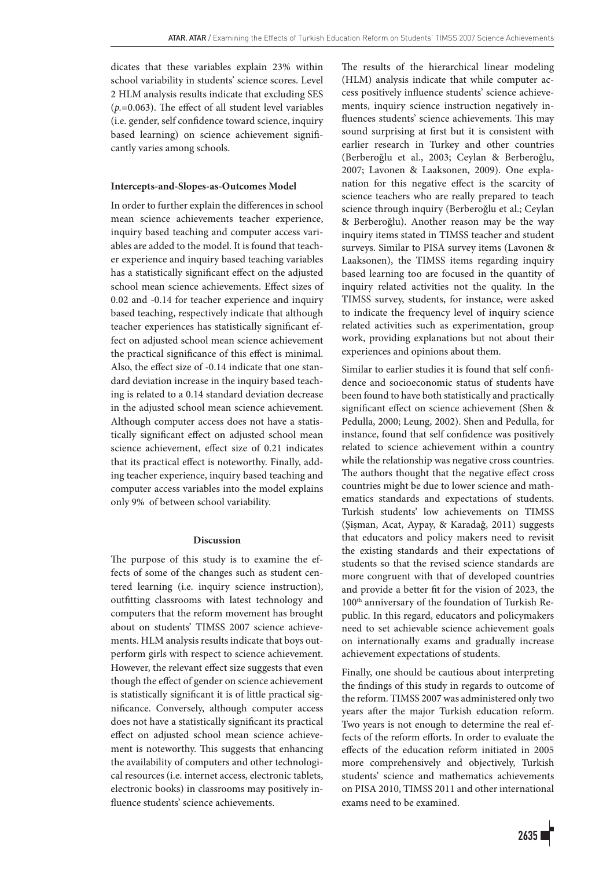dicates that these variables explain 23% within school variability in students' science scores. Level 2 HLM analysis results indicate that excluding SES (*p.*=0.063). The effect of all student level variables (i.e. gender, self confidence toward science, inquiry based learning) on science achievement significantly varies among schools.

### **Intercepts-and-Slopes-as-Outcomes Model**

In order to further explain the differences in school mean science achievements teacher experience, inquiry based teaching and computer access variables are added to the model. It is found that teacher experience and inquiry based teaching variables has a statistically significant effect on the adjusted school mean science achievements. Effect sizes of 0.02 and -0.14 for teacher experience and inquiry based teaching, respectively indicate that although teacher experiences has statistically significant effect on adjusted school mean science achievement the practical significance of this effect is minimal. Also, the effect size of -0.14 indicate that one standard deviation increase in the inquiry based teaching is related to a 0.14 standard deviation decrease in the adjusted school mean science achievement. Although computer access does not have a statistically significant effect on adjusted school mean science achievement, effect size of 0.21 indicates that its practical effect is noteworthy. Finally, adding teacher experience, inquiry based teaching and computer access variables into the model explains only 9% of between school variability.

## **Discussion**

The purpose of this study is to examine the effects of some of the changes such as student centered learning (i.e. inquiry science instruction), outfitting classrooms with latest technology and computers that the reform movement has brought about on students' TIMSS 2007 science achievements. HLM analysis results indicate that boys outperform girls with respect to science achievement. However, the relevant effect size suggests that even though the effect of gender on science achievement is statistically significant it is of little practical significance. Conversely, although computer access does not have a statistically significant its practical effect on adjusted school mean science achievement is noteworthy. This suggests that enhancing the availability of computers and other technological resources (i.e. internet access, electronic tablets, electronic books) in classrooms may positively influence students' science achievements.

The results of the hierarchical linear modeling (HLM) analysis indicate that while computer access positively influence students' science achievements, inquiry science instruction negatively influences students' science achievements. This may sound surprising at first but it is consistent with earlier research in Turkey and other countries (Berberoğlu et al., 2003; Ceylan & Berberoğlu, 2007; Lavonen & Laaksonen, 2009). One explanation for this negative effect is the scarcity of science teachers who are really prepared to teach science through inquiry (Berberoğlu et al.; Ceylan & Berberoğlu). Another reason may be the way inquiry items stated in TIMSS teacher and student surveys. Similar to PISA survey items (Lavonen & Laaksonen), the TIMSS items regarding inquiry based learning too are focused in the quantity of inquiry related activities not the quality. In the TIMSS survey, students, for instance, were asked to indicate the frequency level of inquiry science related activities such as experimentation, group work, providing explanations but not about their experiences and opinions about them.

Similar to earlier studies it is found that self confidence and socioeconomic status of students have been found to have both statistically and practically significant effect on science achievement (Shen & Pedulla, 2000; Leung, 2002). Shen and Pedulla, for instance, found that self confidence was positively related to science achievement within a country while the relationship was negative cross countries. The authors thought that the negative effect cross countries might be due to lower science and mathematics standards and expectations of students. Turkish students' low achievements on TIMSS (Şişman, Acat, Aypay, & Karadağ, 2011) suggests that educators and policy makers need to revisit the existing standards and their expectations of students so that the revised science standards are more congruent with that of developed countries and provide a better fit for the vision of 2023, the 100th anniversary of the foundation of Turkish Republic. In this regard, educators and policymakers need to set achievable science achievement goals on internationally exams and gradually increase achievement expectations of students.

Finally, one should be cautious about interpreting the findings of this study in regards to outcome of the reform. TIMSS 2007 was administered only two years after the major Turkish education reform. Two years is not enough to determine the real effects of the reform efforts. In order to evaluate the effects of the education reform initiated in 2005 more comprehensively and objectively, Turkish students' science and mathematics achievements on PISA 2010, TIMSS 2011 and other international exams need to be examined.